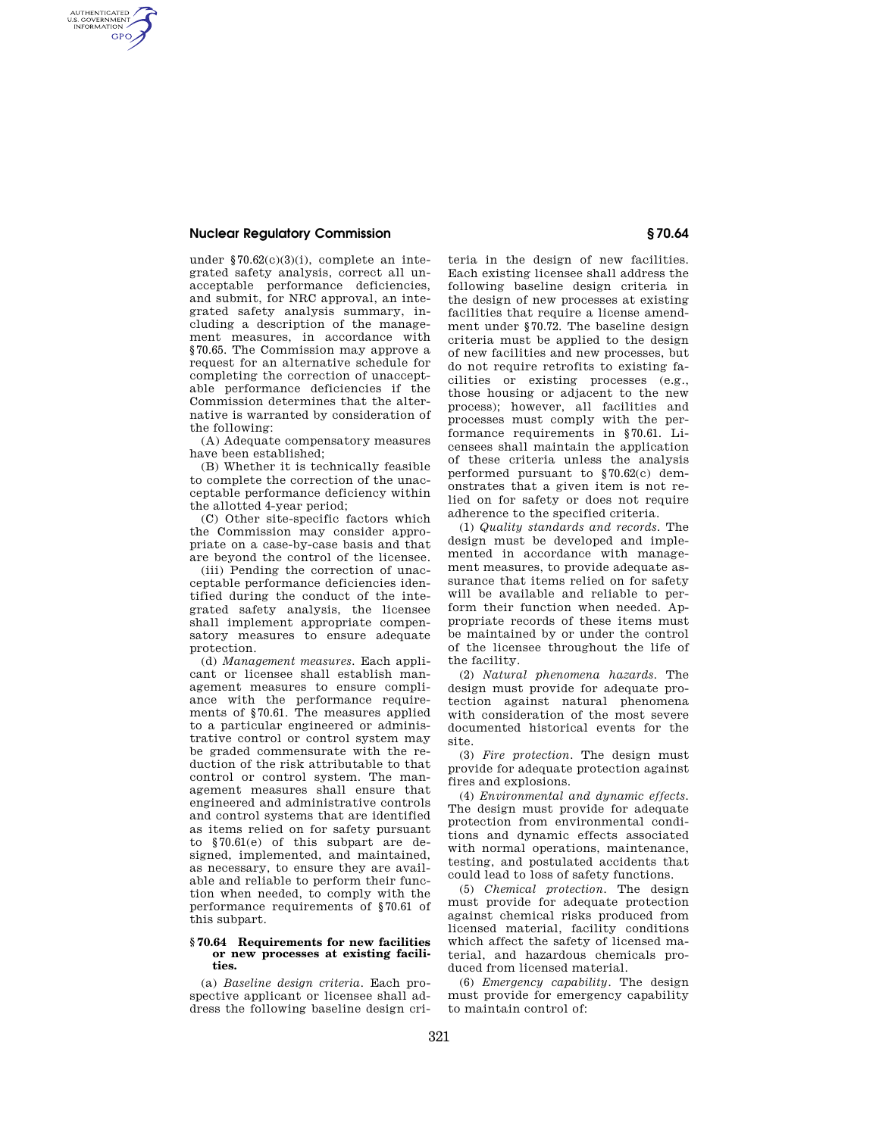## **Nuclear Regulatory Commission § 70.64**

AUTHENTICATED<br>U.S. GOVERNMENT<br>INFORMATION **GPO** 

> under §70.62(c)(3)(i), complete an integrated safety analysis, correct all unacceptable performance deficiencies, and submit, for NRC approval, an integrated safety analysis summary, including a description of the management measures, in accordance with §70.65. The Commission may approve a request for an alternative schedule for completing the correction of unacceptable performance deficiencies if the Commission determines that the alternative is warranted by consideration of the following:

(A) Adequate compensatory measures have been established;

(B) Whether it is technically feasible to complete the correction of the unacceptable performance deficiency within the allotted 4-year period;

(C) Other site-specific factors which the Commission may consider appropriate on a case-by-case basis and that are beyond the control of the licensee.

(iii) Pending the correction of unacceptable performance deficiencies identified during the conduct of the integrated safety analysis, the licensee shall implement appropriate compensatory measures to ensure adequate protection.

(d) *Management measures.* Each applicant or licensee shall establish management measures to ensure compliance with the performance requirements of §70.61. The measures applied to a particular engineered or administrative control or control system may be graded commensurate with the reduction of the risk attributable to that control or control system. The management measures shall ensure that engineered and administrative controls and control systems that are identified as items relied on for safety pursuant to §70.61(e) of this subpart are designed, implemented, and maintained, as necessary, to ensure they are available and reliable to perform their function when needed, to comply with the performance requirements of §70.61 of this subpart.

## **§ 70.64 Requirements for new facilities or new processes at existing facilities.**

(a) *Baseline design criteria.* Each prospective applicant or licensee shall address the following baseline design cri-

teria in the design of new facilities. Each existing licensee shall address the following baseline design criteria in the design of new processes at existing facilities that require a license amendment under §70.72. The baseline design criteria must be applied to the design of new facilities and new processes, but do not require retrofits to existing facilities or existing processes (e.g., those housing or adjacent to the new process); however, all facilities and processes must comply with the performance requirements in §70.61. Licensees shall maintain the application of these criteria unless the analysis performed pursuant to §70.62(c) demonstrates that a given item is not relied on for safety or does not require adherence to the specified criteria.

(1) *Quality standards and records.* The design must be developed and implemented in accordance with management measures, to provide adequate assurance that items relied on for safety will be available and reliable to perform their function when needed. Appropriate records of these items must be maintained by or under the control of the licensee throughout the life of the facility.

(2) *Natural phenomena hazards.* The design must provide for adequate protection against natural phenomena with consideration of the most severe documented historical events for the site.

(3) *Fire protection.* The design must provide for adequate protection against fires and explosions.

(4) *Environmental and dynamic effects.*  The design must provide for adequate protection from environmental conditions and dynamic effects associated with normal operations, maintenance, testing, and postulated accidents that could lead to loss of safety functions.

(5) *Chemical protection.* The design must provide for adequate protection against chemical risks produced from licensed material, facility conditions which affect the safety of licensed material, and hazardous chemicals produced from licensed material.

(6) *Emergency capability.* The design must provide for emergency capability to maintain control of: